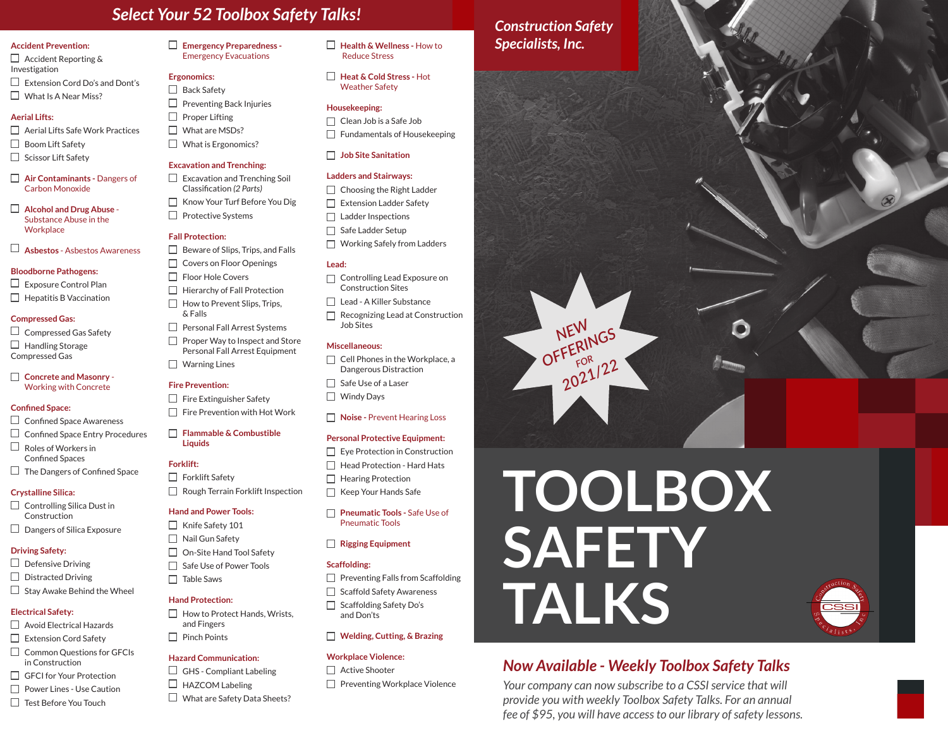# *Select Your 52 Toolbox Safety Talks!*

#### **Accident Prevention:**

 $\Box$  Accident Reporting & Investigation  $\Box$  Extension Cord Do's and Dont's  $\Box$  What Is A Near Miss?

#### **Aerial Lifts:**

 $\Box$  Aerial Lifts Safe Work Practices □ Boom Lift Safety  $\Box$  Scissor Lift Safety

**Air Contaminants -** Dangers of Carbon Monoxide

**Alcohol and Drug Abuse** - Substance Abuse in the **Workplace** 

**Asbestos** - Asbestos Awareness

#### **Bloodborne Pathogens:**

 $\Box$  Exposure Control Plan  $\Box$  Hepatitis B Vaccination

#### **Compressed Gas:**

 $\Box$  Compressed Gas Safety  $\Box$  Handling Storage Compressed Gas

#### **Concrete and Masonry** - Working with Concrete

#### **Confined Space:**

- $\Box$  Confined Space Awareness
- $\Box$  Confined Space Entry Procedures
- $\Box$  Roles of Workers in Confined Spaces
- $\Box$  The Dangers of Confined Space

#### **Crystalline Silica:**

 $\Box$  Controlling Silica Dust in Construction  $\Box$  Dangers of Silica Exposure

#### **Driving Safety:**

- $\Box$  Defensive Driving
- $\Box$  Distracted Driving
- $\Box$  Stay Awake Behind the Wheel

#### **Electrical Safety:**

- □ Avoid Electrical Hazards
- Extension Cord Safety
- $\Box$  Common Questions for GFCIs in Construction
- □ GFCI for Your Protection
- □ Power Lines Use Caution
- $\Box$  Test Before You Touch

**Emergency Preparedness -**  Emergency Evacuations

#### **Ergonomics:**

 $\Box$  Back Safety  $\Box$  Preventing Back Injuries  $\Box$  Proper Lifting What are MSDs? What is Ergonomics?

#### **Excavation and Trenching:**

 $\Box$  Excavation and Trenching Soil Classification *(2 Parts)* □ Know Your Turf Before You Dig  $\Box$  Protective Systems

#### **Fall Protection:**

 $\Box$  Beware of Slips, Trips, and Falls  $\Box$  Covers on Floor Openings  $\Box$  Floor Hole Covers  $\Box$  Hierarchy of Fall Protection  $\Box$  How to Prevent Slips, Trips, & Falls  $\Box$  Personal Fall Arrest Systems  $\Box$  Proper Way to Inspect and Store Personal Fall Arrest Equipment □ Warning Lines

#### **Fire Prevention:**

 $\Box$  Fire Extinguisher Safety  $\Box$  Fire Prevention with Hot Work

**Flammable & Combustible Liquids**

#### **Forklift:**

 $\Box$  Forklift Safety Rough Terrain Forklift Inspection

#### **Hand and Power Tools:**

 $\Box$  Knife Safety 101  $\Box$  Nail Gun Safety  $\Box$  On-Site Hand Tool Safety  $\Box$  Safe Use of Power Tools  $\Box$  Table Saws

#### **Hand Protection:**

 $\Box$  How to Protect Hands, Wrists, and Fingers  $\Box$  Pinch Points

#### **Hazard Communication:**

- $\Box$  GHS Compliant Labeling  $\Box$  HAZCOM Labeling
- $\Box$  What are Safety Data Sheets?

**Health & Wellness -** How to Reduce Stress

**Heat & Cold Stress -** Hot Weather Safety

#### **Housekeeping:**

Clean Job is a Safe Job  $\Box$  Fundamentals of Housekeeping

#### **Job Site Sanitation**

#### **Ladders and Stairways:**

- $\Box$  Choosing the Right Ladder
- Extension Ladder Safety
- $\Box$  Ladder Inspections
- $\Box$  Safe Ladder Setup Working Safely from Ladders

### **Lead:**

- $\Box$  Controlling Lead Exposure on Construction Sites
- □ Lead A Killer Substance
- $\Box$  Recognizing Lead at Construction Job Sites

#### **Miscellaneous:**

- $\Box$  Cell Phones in the Workplace, a Dangerous Distraction
- $\Box$  Safe Use of a Laser
- □ Windy Days

#### **Noise - Prevent Hearing Loss**

#### **Personal Protective Equipment:**

- $\Box$  Eye Protection in Construction
- $\Box$  Head Protection Hard Hats
- $\Box$  Hearing Protection  $\Box$  Keep Your Hands Safe
- **Pneumatic Tools Safe Use of** Pneumatic Tools

#### **Rigging Equipment**

#### **Scaffolding:**

- $\Box$  Preventing Falls from Scaffolding
- $\Box$  Scaffold Safety Awareness  $\Box$  Scaffolding Safety Do's and Don'ts

#### **Welding, Cutting, & Brazing**

#### **Workplace Violence:**

- $\Box$  Active Shooter
- $\Box$  Preventing Workplace Violence

*Construction Safety Specialists, Inc.*





*Your company can now subscribe to a CSSI service that will provide you with weekly Toolbox Safety Talks. For an annual fee of \$95, you will have access to our library of safety lessons.*

**TALKS**